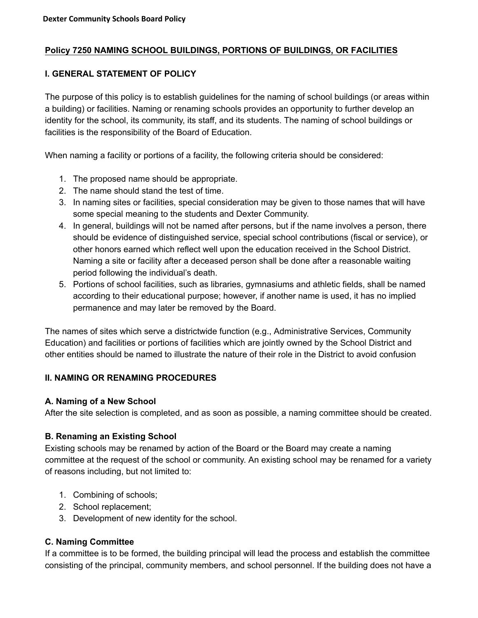### **Policy 7250 NAMING SCHOOL BUILDINGS, PORTIONS OF BUILDINGS, OR FACILITIES**

#### **I. GENERAL STATEMENT OF POLICY**

The purpose of this policy is to establish guidelines for the naming of school buildings (or areas within a building) or facilities. Naming or renaming schools provides an opportunity to further develop an identity for the school, its community, its staff, and its students. The naming of school buildings or facilities is the responsibility of the Board of Education.

When naming a facility or portions of a facility, the following criteria should be considered:

- 1. The proposed name should be appropriate.
- 2. The name should stand the test of time.
- 3. In naming sites or facilities, special consideration may be given to those names that will have some special meaning to the students and Dexter Community.
- 4. In general, buildings will not be named after persons, but if the name involves a person, there should be evidence of distinguished service, special school contributions (fiscal or service), or other honors earned which reflect well upon the education received in the School District. Naming a site or facility after a deceased person shall be done after a reasonable waiting period following the individual's death.
- 5. Portions of school facilities, such as libraries, gymnasiums and athletic fields, shall be named according to their educational purpose; however, if another name is used, it has no implied permanence and may later be removed by the Board.

The names of sites which serve a districtwide function (e.g., Administrative Services, Community Education) and facilities or portions of facilities which are jointly owned by the School District and other entities should be named to illustrate the nature of their role in the District to avoid confusion

#### **II. NAMING OR RENAMING PROCEDURES**

#### **A. Naming of a New School**

After the site selection is completed, and as soon as possible, a naming committee should be created.

#### **B. Renaming an Existing School**

Existing schools may be renamed by action of the Board or the Board may create a naming committee at the request of the school or community. An existing school may be renamed for a variety of reasons including, but not limited to:

- 1. Combining of schools;
- 2. School replacement;
- 3. Development of new identity for the school.

#### **C. Naming Committee**

If a committee is to be formed, the building principal will lead the process and establish the committee consisting of the principal, community members, and school personnel. If the building does not have a